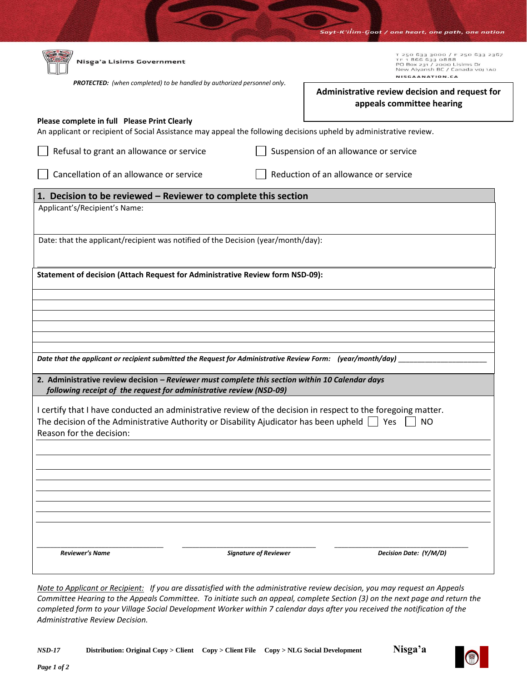|                                                                                                                                                                                                                                              |                              | Sayt-K'ilim-Goot / one heart, one path, one nation                                                                                       |
|----------------------------------------------------------------------------------------------------------------------------------------------------------------------------------------------------------------------------------------------|------------------------------|------------------------------------------------------------------------------------------------------------------------------------------|
| Nisga'a Lisims Government                                                                                                                                                                                                                    |                              | T 250 633 3000 / F 250 633 2367<br>E880 EEG 356 T T<br>PO Box 231 / 2000 Lisims Dr<br>New Aiyansh BC / Canada voj 1A0<br>NISCAANATION.CA |
| <b>PROTECTED:</b> (when completed) to be handled by authorized personnel only.                                                                                                                                                               |                              | Administrative review decision and request for<br>appeals committee hearing                                                              |
| Please complete in full Please Print Clearly<br>An applicant or recipient of Social Assistance may appeal the following decisions upheld by administrative review.                                                                           |                              |                                                                                                                                          |
| Refusal to grant an allowance or service                                                                                                                                                                                                     |                              | Suspension of an allowance or service                                                                                                    |
| Cancellation of an allowance or service                                                                                                                                                                                                      |                              | Reduction of an allowance or service                                                                                                     |
| 1. Decision to be reviewed - Reviewer to complete this section                                                                                                                                                                               |                              |                                                                                                                                          |
| Applicant's/Recipient's Name:                                                                                                                                                                                                                |                              |                                                                                                                                          |
| Date: that the applicant/recipient was notified of the Decision (year/month/day):                                                                                                                                                            |                              |                                                                                                                                          |
| Statement of decision (Attach Request for Administrative Review form NSD-09):                                                                                                                                                                |                              |                                                                                                                                          |
|                                                                                                                                                                                                                                              |                              |                                                                                                                                          |
|                                                                                                                                                                                                                                              |                              |                                                                                                                                          |
|                                                                                                                                                                                                                                              |                              |                                                                                                                                          |
| Date that the applicant or recipient submitted the Request for Administrative Review Form: (year/month/day)                                                                                                                                  |                              |                                                                                                                                          |
| 2. Administrative review decision - Reviewer must complete this section within 10 Calendar days<br>following receipt of the request for administrative review (NSD-09)                                                                       |                              |                                                                                                                                          |
| I certify that I have conducted an administrative review of the decision in respect to the foregoing matter.<br>The decision of the Administrative Authority or Disability Ajudicator has been upheld $\Box$ Yes<br>Reason for the decision: |                              | <b>NO</b>                                                                                                                                |
|                                                                                                                                                                                                                                              |                              |                                                                                                                                          |
|                                                                                                                                                                                                                                              |                              |                                                                                                                                          |
|                                                                                                                                                                                                                                              |                              |                                                                                                                                          |
|                                                                                                                                                                                                                                              |                              |                                                                                                                                          |
| Reviewer's Name                                                                                                                                                                                                                              | <b>Signature of Reviewer</b> | Decision Date: (Y/M/D)                                                                                                                   |

*Note to Applicant or Recipient: If you are dissatisfied with the administrative review decision, you may request an Appeals Committee Hearing to the Appeals Committee. To initiate such an appeal, complete Section (3) on the next page and return the completed form to your Village Social Development Worker within 7 calendar days after you received the notification of the Administrative Review Decision.*